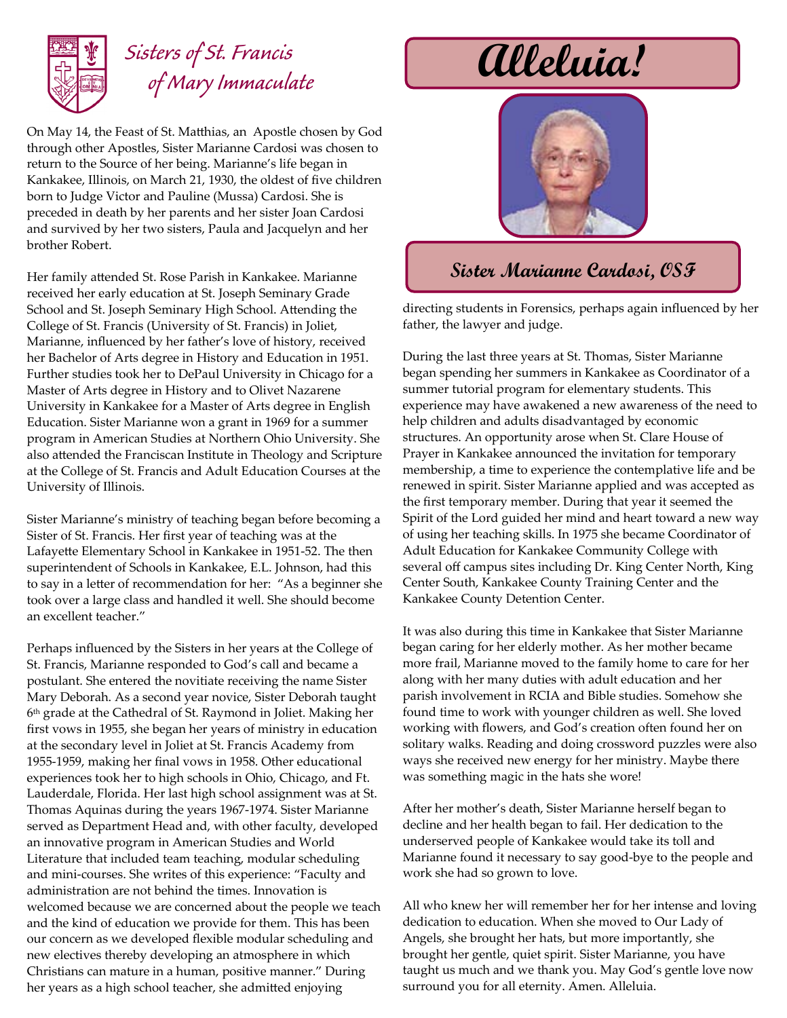

## *Sisters of St. Francis of Mary Immaculate*

On May 14, the Feast of St. Matthias, an Apostle chosen by God through other Apostles, Sister Marianne Cardosi was chosen to return to the Source of her being. Marianne's life began in Kankakee, Illinois, on March 21, 1930, the oldest of five children born to Judge Victor and Pauline (Mussa) Cardosi. She is preceded in death by her parents and her sister Joan Cardosi and survived by her two sisters, Paula and Jacquelyn and her brother Robert.

Her family attended St. Rose Parish in Kankakee. Marianne received her early education at St. Joseph Seminary Grade School and St. Joseph Seminary High School. Attending the College of St. Francis (University of St. Francis) in Joliet, Marianne, influenced by her father's love of history, received her Bachelor of Arts degree in History and Education in 1951. Further studies took her to DePaul University in Chicago for a Master of Arts degree in History and to Olivet Nazarene University in Kankakee for a Master of Arts degree in English Education. Sister Marianne won a grant in 1969 for a summer program in American Studies at Northern Ohio University. She also attended the Franciscan Institute in Theology and Scripture at the College of St. Francis and Adult Education Courses at the University of Illinois.

Sister Marianne's ministry of teaching began before becoming a Sister of St. Francis. Her first year of teaching was at the Lafayette Elementary School in Kankakee in 1951-52. The then superintendent of Schools in Kankakee, E.L. Johnson, had this to say in a letter of recommendation for her: "As a beginner she took over a large class and handled it well. She should become an excellent teacher."

Perhaps influenced by the Sisters in her years at the College of St. Francis, Marianne responded to God's call and became a postulant. She entered the novitiate receiving the name Sister Mary Deborah. As a second year novice, Sister Deborah taught 6 th grade at the Cathedral of St. Raymond in Joliet. Making her first vows in 1955, she began her years of ministry in education at the secondary level in Joliet at St. Francis Academy from 1955-1959, making her final vows in 1958. Other educational experiences took her to high schools in Ohio, Chicago, and Ft. Lauderdale, Florida. Her last high school assignment was at St. Thomas Aquinas during the years 1967-1974. Sister Marianne served as Department Head and, with other faculty, developed an innovative program in American Studies and World Literature that included team teaching, modular scheduling and mini-courses. She writes of this experience: "Faculty and administration are not behind the times. Innovation is welcomed because we are concerned about the people we teach and the kind of education we provide for them. This has been our concern as we developed flexible modular scheduling and new electives thereby developing an atmosphere in which Christians can mature in a human, positive manner." During her years as a high school teacher, she admitted enjoying

## **Alleluia!**



## **Sister Marianne Cardosi, OSF**

directing students in Forensics, perhaps again influenced by her father, the lawyer and judge.

During the last three years at St. Thomas, Sister Marianne began spending her summers in Kankakee as Coordinator of a summer tutorial program for elementary students. This experience may have awakened a new awareness of the need to help children and adults disadvantaged by economic structures. An opportunity arose when St. Clare House of Prayer in Kankakee announced the invitation for temporary membership, a time to experience the contemplative life and be renewed in spirit. Sister Marianne applied and was accepted as the first temporary member. During that year it seemed the Spirit of the Lord guided her mind and heart toward a new way of using her teaching skills. In 1975 she became Coordinator of Adult Education for Kankakee Community College with several off campus sites including Dr. King Center North, King Center South, Kankakee County Training Center and the Kankakee County Detention Center.

It was also during this time in Kankakee that Sister Marianne began caring for her elderly mother. As her mother became more frail, Marianne moved to the family home to care for her along with her many duties with adult education and her parish involvement in RCIA and Bible studies. Somehow she found time to work with younger children as well. She loved working with flowers, and God's creation often found her on solitary walks. Reading and doing crossword puzzles were also ways she received new energy for her ministry. Maybe there was something magic in the hats she wore!

After her mother's death, Sister Marianne herself began to decline and her health began to fail. Her dedication to the underserved people of Kankakee would take its toll and Marianne found it necessary to say good-bye to the people and work she had so grown to love.

All who knew her will remember her for her intense and loving dedication to education. When she moved to Our Lady of Angels, she brought her hats, but more importantly, she brought her gentle, quiet spirit. Sister Marianne, you have taught us much and we thank you. May God's gentle love now surround you for all eternity. Amen. Alleluia.